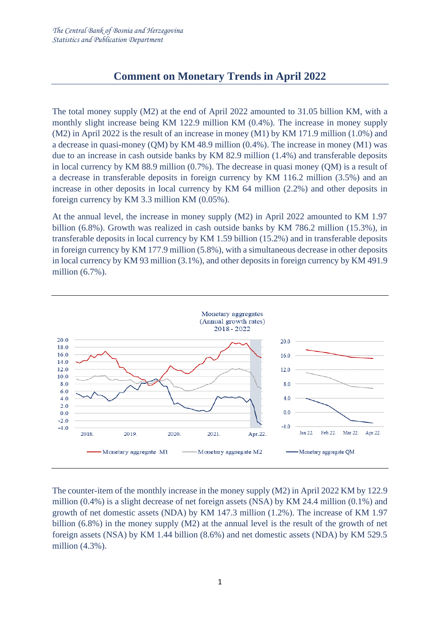# **Comment on Monetary Trends in April 2022**

The total money supply (M2) at the end of April 2022 amounted to 31.05 billion KM, with a monthly slight increase being KM 122.9 million KM (0.4%). The increase in money supply (M2) in April 2022 is the result of an increase in money (M1) by KM 171.9 million (1.0%) and a decrease in quasi-money (QM) by KM 48.9 million (0.4%). The increase in money (M1) was due to an increase in cash outside banks by KM 82.9 million (1.4%) and transferable deposits in local currency by KM 88.9 million (0.7%). The decrease in quasi money (QM) is a result of a decrease in transferable deposits in foreign currency by KM 116.2 million (3.5%) and an increase in other deposits in local currency by KM 64 million (2.2%) and other deposits in foreign currency by KM 3.3 million KM (0.05%).

At the annual level, the increase in money supply (M2) in April 2022 amounted to KM 1.97 billion (6.8%). Growth was realized in cash outside banks by KM 786.2 million (15.3%), in transferable deposits in local currency by KM 1.59 billion (15.2%) and in transferable deposits in foreign currency by KM 177.9 million (5.8%), with a simultaneous decrease in other deposits in local currency by KM 93 million (3.1%), and other deposits in foreign currency by KM 491.9 million (6.7%).



The counter-item of the monthly increase in the money supply (M2) in April 2022 KM by 122.9 million (0.4%) is a slight decrease of net foreign assets (NSA) by KM 24.4 million (0.1%) and growth of net domestic assets (NDA) by KM 147.3 million (1.2%). The increase of KM 1.97 billion (6.8%) in the money supply (M2) at the annual level is the result of the growth of net foreign assets (NSA) by KM 1.44 billion (8.6%) and net domestic assets (NDA) by KM 529.5 million (4.3%).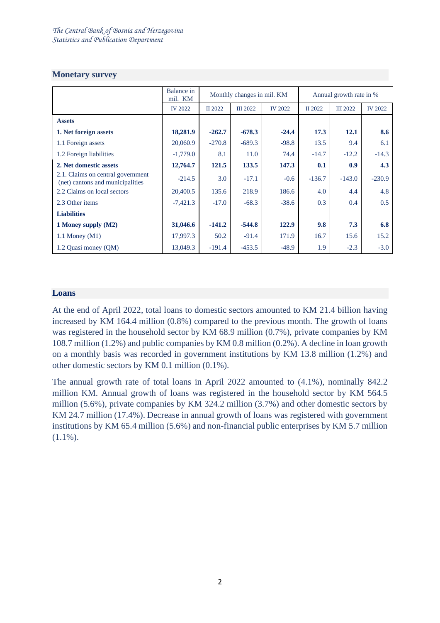#### **Monetary survey**

|                                                                       | Balance in<br>mil. KM | Monthly changes in mil. KM |                 |                | Annual growth rate in % |                 |                |
|-----------------------------------------------------------------------|-----------------------|----------------------------|-----------------|----------------|-------------------------|-----------------|----------------|
|                                                                       | <b>IV 2022</b>        | II 2022                    | <b>III</b> 2022 | <b>IV 2022</b> | II 2022                 | <b>III</b> 2022 | <b>IV 2022</b> |
| <b>Assets</b>                                                         |                       |                            |                 |                |                         |                 |                |
| 1. Net foreign assets                                                 | 18,281.9              | $-262.7$                   | $-678.3$        | $-24.4$        | 17.3                    | 12.1            | 8.6            |
| 1.1 Foreign assets                                                    | 20,060.9              | $-270.8$                   | $-689.3$        | $-98.8$        | 13.5                    | 9.4             | 6.1            |
| 1.2 Foreign liabilities                                               | $-1,779.0$            | 8.1                        | 11.0            | 74.4           | $-14.7$                 | $-12.2$         | $-14.3$        |
| 2. Net domestic assets                                                | 12,764.7              | 121.5                      | 133.5           | 147.3          | 0.1                     | 0.9             | 4.3            |
| 2.1. Claims on central government<br>(net) cantons and municipalities | $-214.5$              | 3.0                        | $-17.1$         | $-0.6$         | $-136.7$                | $-143.0$        | $-230.9$       |
| 2.2 Claims on local sectors                                           | 20,400.5              | 135.6                      | 218.9           | 186.6          | 4.0                     | 4.4             | 4.8            |
| 2.3 Other items                                                       | $-7,421.3$            | $-17.0$                    | $-68.3$         | $-38.6$        | 0.3                     | 0.4             | 0.5            |
| <b>Liabilities</b>                                                    |                       |                            |                 |                |                         |                 |                |
| 1 Money supply (M2)                                                   | 31,046.6              | $-141.2$                   | $-544.8$        | 122.9          | 9.8                     | 7.3             | 6.8            |
| 1.1 Money $(M1)$                                                      | 17,997.3              | 50.2                       | $-91.4$         | 171.9          | 16.7                    | 15.6            | 15.2           |
| 1.2 Quasi money (QM)                                                  | 13,049.3              | $-191.4$                   | $-453.5$        | $-48.9$        | 1.9                     | $-2.3$          | $-3.0$         |

## **Loans**

At the end of April 2022, total loans to domestic sectors amounted to KM 21.4 billion having increased by KM 164.4 million (0.8%) compared to the previous month. The growth of loans was registered in the household sector by KM 68.9 million (0.7%), private companies by KM 108.7 million (1.2%) and public companies by KM 0.8 million (0.2%). A decline in loan growth on a monthly basis was recorded in government institutions by KM 13.8 million (1.2%) and other domestic sectors by KM 0.1 million (0.1%).

The annual growth rate of total loans in April 2022 amounted to (4.1%), nominally 842.2 million KM. Annual growth of loans was registered in the household sector by KM 564.5 million (5.6%), private companies by KM 324.2 million (3.7%) and other domestic sectors by KM 24.7 million (17.4%). Decrease in annual growth of loans was registered with government institutions by KM 65.4 million (5.6%) and non-financial public enterprises by KM 5.7 million  $(1.1\%)$ .